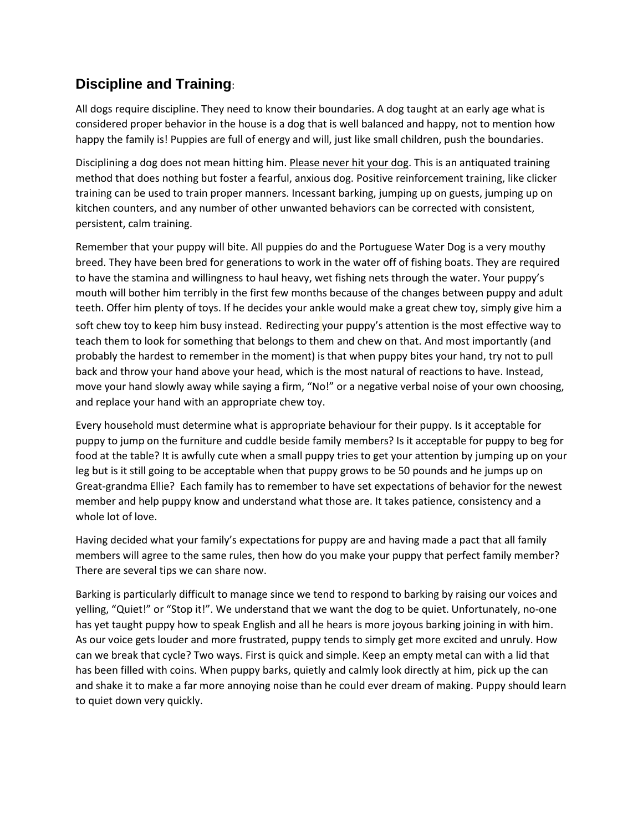## **Discipline and Training**:

All dogs require discipline. They need to know their boundaries. A dog taught at an early age what is considered proper behavior in the house is a dog that is well balanced and happy, not to mention how happy the family is! Puppies are full of energy and will, just like small children, push the boundaries.

Disciplining a dog does not mean hitting him. Please never hit your dog. This is an antiquated training method that does nothing but foster a fearful, anxious dog. Positive reinforcement training, like clicker training can be used to train proper manners. Incessant barking, jumping up on guests, jumping up on kitchen counters, and any number of other unwanted behaviors can be corrected with consistent, persistent, calm training.

Remember that your puppy will bite. All puppies do and the Portuguese Water Dog is a very mouthy breed. They have been bred for generations to work in the water off of fishing boats. They are required to have the stamina and willingness to haul heavy, wet fishing nets through the water. Your puppy's mouth will bother him terribly in the first few months because of the changes between puppy and adult teeth. Offer him plenty of toys. If he decides your ankle would make a great chew toy, simply give him a soft chew toy to keep him busy instead. Redirecting your puppy's attention is the most effective way to teach them to look for something that belongs to them and chew on that. And most importantly (and probably the hardest to remember in the moment) is that when puppy bites your hand, try not to pull back and throw your hand above your head, which is the most natural of reactions to have. Instead, move your hand slowly away while saying a firm, "No!" or a negative verbal noise of your own choosing, and replace your hand with an appropriate chew toy.

Every household must determine what is appropriate behaviour for their puppy. Is it acceptable for puppy to jump on the furniture and cuddle beside family members? Is it acceptable for puppy to beg for food at the table? It is awfully cute when a small puppy tries to get your attention by jumping up on your leg but is it still going to be acceptable when that puppy grows to be 50 pounds and he jumps up on Great-grandma Ellie? Each family has to remember to have set expectations of behavior for the newest member and help puppy know and understand what those are. It takes patience, consistency and a whole lot of love.

Having decided what your family's expectations for puppy are and having made a pact that all family members will agree to the same rules, then how do you make your puppy that perfect family member? There are several tips we can share now.

Barking is particularly difficult to manage since we tend to respond to barking by raising our voices and yelling, "Quiet!" or "Stop it!". We understand that we want the dog to be quiet. Unfortunately, no-one has yet taught puppy how to speak English and all he hears is more joyous barking joining in with him. As our voice gets louder and more frustrated, puppy tends to simply get more excited and unruly. How can we break that cycle? Two ways. First is quick and simple. Keep an empty metal can with a lid that has been filled with coins. When puppy barks, quietly and calmly look directly at him, pick up the can and shake it to make a far more annoying noise than he could ever dream of making. Puppy should learn to quiet down very quickly.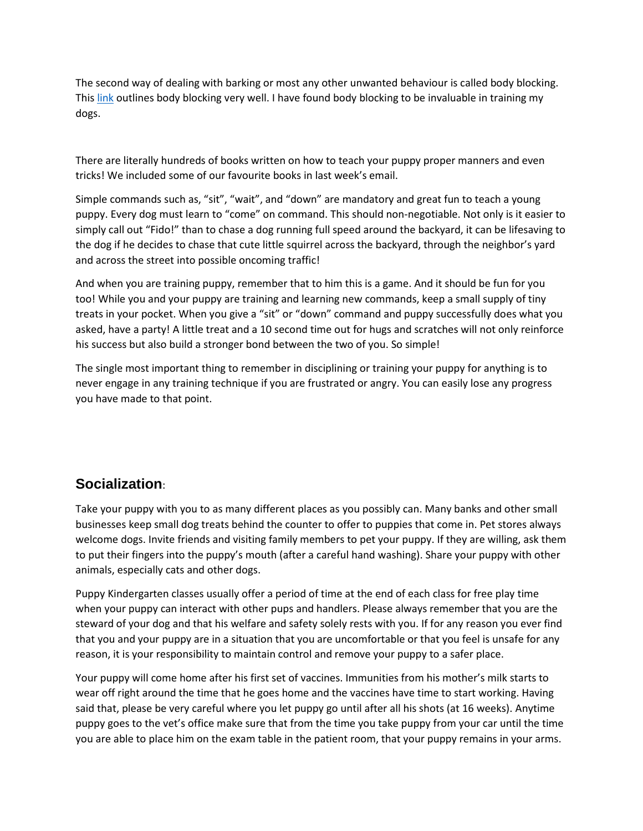The second way of dealing with barking or most any other unwanted behaviour is called body blocking. Thi[s link](http://www.dogbehaviorblog.com/2007/10/body-language-e.html) outlines body blocking very well. I have found body blocking to be invaluable in training my dogs.

There are literally hundreds of books written on how to teach your puppy proper manners and even tricks! We included some of our favourite books in last week's email.

Simple commands such as, "sit", "wait", and "down" are mandatory and great fun to teach a young puppy. Every dog must learn to "come" on command. This should non-negotiable. Not only is it easier to simply call out "Fido!" than to chase a dog running full speed around the backyard, it can be lifesaving to the dog if he decides to chase that cute little squirrel across the backyard, through the neighbor's yard and across the street into possible oncoming traffic!

And when you are training puppy, remember that to him this is a game. And it should be fun for you too! While you and your puppy are training and learning new commands, keep a small supply of tiny treats in your pocket. When you give a "sit" or "down" command and puppy successfully does what you asked, have a party! A little treat and a 10 second time out for hugs and scratches will not only reinforce his success but also build a stronger bond between the two of you. So simple!

The single most important thing to remember in disciplining or training your puppy for anything is to never engage in any training technique if you are frustrated or angry. You can easily lose any progress you have made to that point.

## **Socialization**:

Take your puppy with you to as many different places as you possibly can. Many banks and other small businesses keep small dog treats behind the counter to offer to puppies that come in. Pet stores always welcome dogs. Invite friends and visiting family members to pet your puppy. If they are willing, ask them to put their fingers into the puppy's mouth (after a careful hand washing). Share your puppy with other animals, especially cats and other dogs.

Puppy Kindergarten classes usually offer a period of time at the end of each class for free play time when your puppy can interact with other pups and handlers. Please always remember that you are the steward of your dog and that his welfare and safety solely rests with you. If for any reason you ever find that you and your puppy are in a situation that you are uncomfortable or that you feel is unsafe for any reason, it is your responsibility to maintain control and remove your puppy to a safer place.

Your puppy will come home after his first set of vaccines. Immunities from his mother's milk starts to wear off right around the time that he goes home and the vaccines have time to start working. Having said that, please be very careful where you let puppy go until after all his shots (at 16 weeks). Anytime puppy goes to the vet's office make sure that from the time you take puppy from your car until the time you are able to place him on the exam table in the patient room, that your puppy remains in your arms.